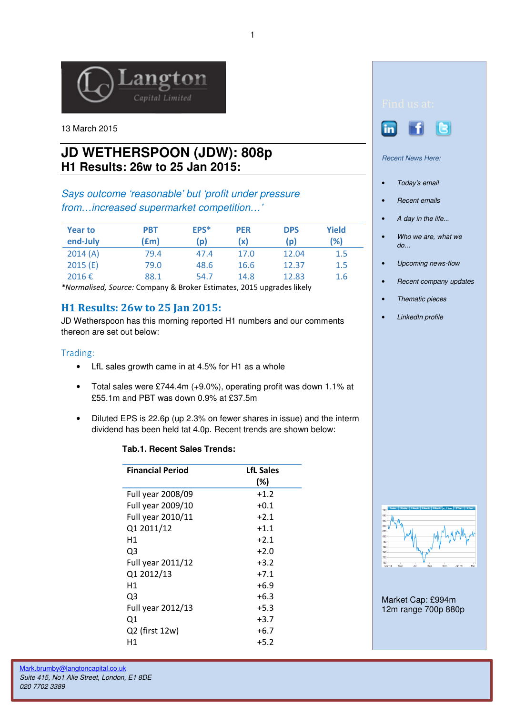

13 March 2015

# **JD WETHERSPOON (JDW): 808p H1 Results: 26w to 25 Jan 2015:**

## Says outcome 'reasonable' but 'profit under pressure from…increased supermarket competition…'

| <b>Year to</b><br>end-July | PBT<br>(£m) | EPS*<br>(p) | <b>PER</b><br>(x) | <b>DPS</b><br>(p) | Yield<br>(%) |
|----------------------------|-------------|-------------|-------------------|-------------------|--------------|
| 2014(A)                    | 79.4        | 47.4        | 17.0              | 12.04             | 1.5          |
| 2015(E)                    | 79.0        | 48.6        | 16.6              | 12.37             | 1.5          |
| 2016€                      | 88.1        | 54.7        | 14.8              | 12.83             | 1.6          |

\*Normalised, Source: Company & Broker Estimates, 2015 upgrades likely

### H1 Results: 26w to 25 Jan 2015:

JD Wetherspoon has this morning reported H1 numbers and our comments thereon are set out below:

#### Trading:

- LfL sales growth came in at 4.5% for H1 as a whole
- Total sales were £744.4m (+9.0%), operating profit was down 1.1% at £55.1m and PBT was down 0.9% at £37.5m
- Diluted EPS is 22.6p (up 2.3% on fewer shares in issue) and the interm dividend has been held tat 4.0p. Recent trends are shown below:

#### **Tab.1. Recent Sales Trends:**

| <b>Financial Period</b> | <b>LfL Sales</b> |  |
|-------------------------|------------------|--|
|                         | (%)              |  |
| Full year 2008/09       | $+1.2$           |  |
| Full year 2009/10       | $+0.1$           |  |
| Full year 2010/11       | $+2.1$           |  |
| Q1 2011/12              | $+1.1$           |  |
| Н1                      | $+2.1$           |  |
| Q3                      | $+2.0$           |  |
| Full year 2011/12       | $+3.2$           |  |
| Q1 2012/13              | $+7.1$           |  |
| Н1                      | $+6.9$           |  |
| Q3                      | $+6.3$           |  |
| Full year 2012/13       | $+5.3$           |  |
| Q1                      | $+3.7$           |  |
| $Q2$ (first 12w)        | $+6.7$           |  |
| Η1                      | $+5.2$           |  |





Recent News Here:

- Today's email
- Recent emails
- A day in the life...
- Who we are, what we do...
- Upcoming news-flow
- Recent company updates
- Thematic pieces
- LinkedIn profile



Market Cap: £994m 12m range 700p 880p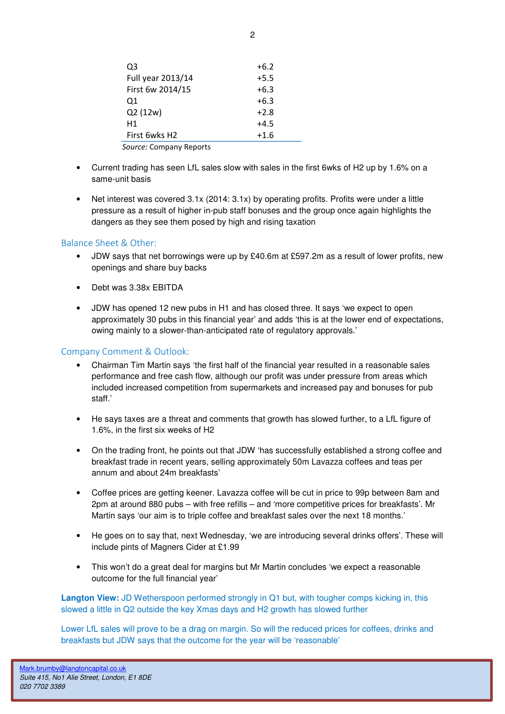| O3                        | $+6.2$ |
|---------------------------|--------|
| Full year 2013/14         | $+5.5$ |
| First 6w 2014/15          | $+6.3$ |
| 01                        | $+6.3$ |
| Q2 (12w)                  | $+2.8$ |
| H1                        | $+4.5$ |
| First 6wks H <sub>2</sub> | $+1.6$ |
|                           |        |

Source: Company Reports

- Current trading has seen LfL sales slow with sales in the first 6wks of H2 up by 1.6% on a same-unit basis
- Net interest was covered 3.1x (2014: 3.1x) by operating profits. Profits were under a little pressure as a result of higher in-pub staff bonuses and the group once again highlights the dangers as they see them posed by high and rising taxation

### Balance Sheet & Other:

- JDW says that net borrowings were up by £40.6m at £597.2m as a result of lower profits, new openings and share buy backs
- Debt was 3.38x EBITDA
- JDW has opened 12 new pubs in H1 and has closed three. It says 'we expect to open approximately 30 pubs in this financial year' and adds 'this is at the lower end of expectations, owing mainly to a slower-than-anticipated rate of regulatory approvals.'

### Company Comment & Outlook:

- Chairman Tim Martin says 'the first half of the financial year resulted in a reasonable sales performance and free cash flow, although our profit was under pressure from areas which included increased competition from supermarkets and increased pay and bonuses for pub staff.'
- He says taxes are a threat and comments that growth has slowed further, to a LfL figure of 1.6%, in the first six weeks of H2
- On the trading front, he points out that JDW 'has successfully established a strong coffee and breakfast trade in recent years, selling approximately 50m Lavazza coffees and teas per annum and about 24m breakfasts'
- Coffee prices are getting keener. Lavazza coffee will be cut in price to 99p between 8am and 2pm at around 880 pubs – with free refills – and 'more competitive prices for breakfasts'. Mr Martin says 'our aim is to triple coffee and breakfast sales over the next 18 months.'
- He goes on to say that, next Wednesday, 'we are introducing several drinks offers'. These will include pints of Magners Cider at £1.99
- This won't do a great deal for margins but Mr Martin concludes 'we expect a reasonable outcome for the full financial year'

**Langton View:** JD Wetherspoon performed strongly in Q1 but, with tougher comps kicking in, this slowed a little in Q2 outside the key Xmas days and H2 growth has slowed further

Lower LfL sales will prove to be a drag on margin. So will the reduced prices for coffees, drinks and breakfasts but JDW says that the outcome for the year will be 'reasonable'